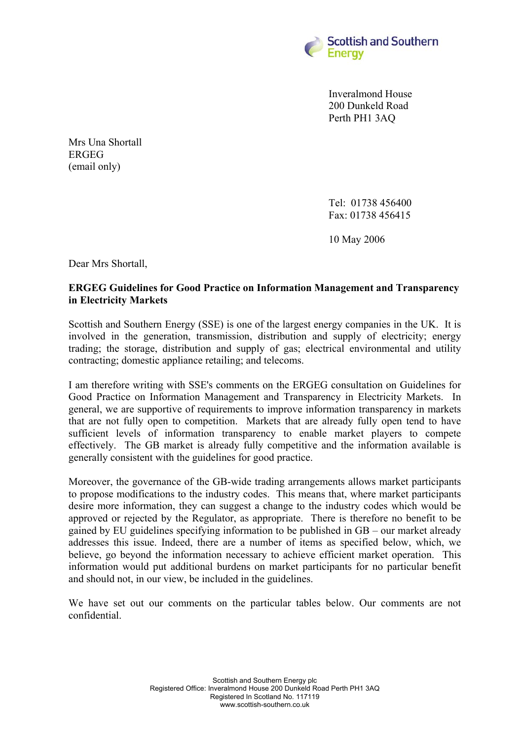

Inveralmond House 200 Dunkeld Road Perth PH1 3AQ

Mrs Una Shortall ERGEG (email only)

> Tel: 01738 456400 Fax: 01738 456415

10 May 2006

Dear Mrs Shortall,

## **ERGEG Guidelines for Good Practice on Information Management and Transparency in Electricity Markets**

Scottish and Southern Energy (SSE) is one of the largest energy companies in the UK. It is involved in the generation, transmission, distribution and supply of electricity; energy trading; the storage, distribution and supply of gas; electrical environmental and utility contracting; domestic appliance retailing; and telecoms.

I am therefore writing with SSE's comments on the ERGEG consultation on Guidelines for Good Practice on Information Management and Transparency in Electricity Markets. In general, we are supportive of requirements to improve information transparency in markets that are not fully open to competition. Markets that are already fully open tend to have sufficient levels of information transparency to enable market players to compete effectively. The GB market is already fully competitive and the information available is generally consistent with the guidelines for good practice.

Moreover, the governance of the GB-wide trading arrangements allows market participants to propose modifications to the industry codes. This means that, where market participants desire more information, they can suggest a change to the industry codes which would be approved or rejected by the Regulator, as appropriate. There is therefore no benefit to be gained by EU guidelines specifying information to be published in GB – our market already addresses this issue. Indeed, there are a number of items as specified below, which, we believe, go beyond the information necessary to achieve efficient market operation. This information would put additional burdens on market participants for no particular benefit and should not, in our view, be included in the guidelines.

We have set out our comments on the particular tables below. Our comments are not confidential.